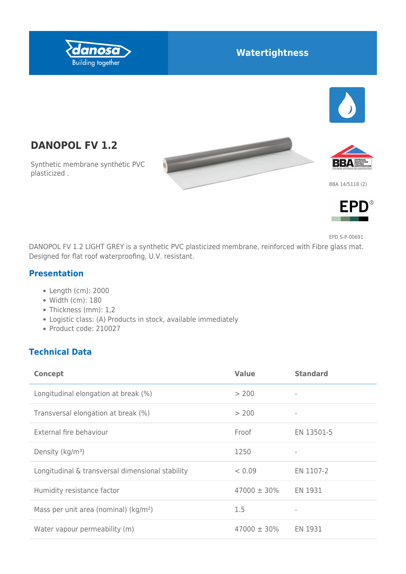

## **Watertightness**



**DANOPOL FV 1.2**

Synthetic membrane synthetic PVC plasticized .



BBA 14/5118 (2)



EPD S-P-00691

DANOPOL FV 1.2 LIGHT GREY is a synthetic PVC plasticized membrane, reinforced with Fibre glass mat. Designed for flat roof waterproofing, U.V. resistant.

 $\overline{\phantom{0}}$ 

#### **Presentation**

- Length (cm): 2000
- Width (cm): 180
- Thickness (mm): 1,2
- Logistic class: (A) Products in stock, available immediately
- Product code: 210027

#### **Technical Data**

| <b>Concept</b>                                    | <b>Value</b>     | <b>Standard</b>          |
|---------------------------------------------------|------------------|--------------------------|
| Longitudinal elongation at break (%)              | > 200            | $\overline{\phantom{a}}$ |
| Transversal elongation at break (%)               | > 200            | $\overline{\phantom{a}}$ |
| External fire behaviour                           | Froof            | EN 13501-5               |
| Density (kg/m <sup>3</sup> )                      | 1250             |                          |
| Longitudinal & transversal dimensional stability  | < 0.09           | EN 1107-2                |
| Humidity resistance factor                        | $47000 \pm 30\%$ | EN 1931                  |
| Mass per unit area (nominal) (kg/m <sup>2</sup> ) | 1.5              | $\overline{\phantom{a}}$ |
| Water vapour permeability (m)                     | $47000 \pm 30\%$ | EN 1931                  |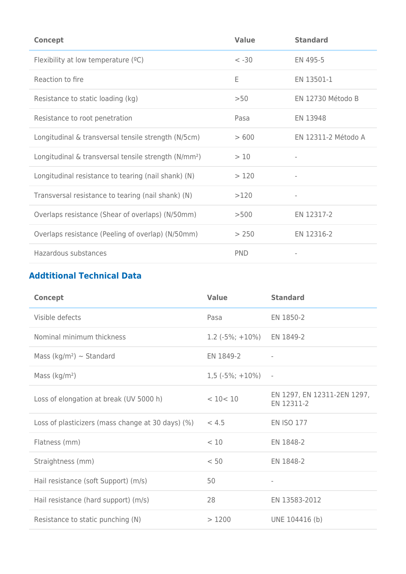| <b>Concept</b>                                                   | <b>Value</b> | <b>Standard</b>     |
|------------------------------------------------------------------|--------------|---------------------|
| Flexibility at low temperature $(°C)$                            | $< -30$      | EN 495-5            |
| Reaction to fire                                                 | E            | EN 13501-1          |
| Resistance to static loading (kg)                                | >50          | EN 12730 Método B   |
| Resistance to root penetration                                   | Pasa         | EN 13948            |
| Longitudinal & transversal tensile strength (N/5cm)              | >600         | EN 12311-2 Método A |
| Longitudinal & transversal tensile strength (N/mm <sup>2</sup> ) | >10          |                     |
| Longitudinal resistance to tearing (nail shank) (N)              | >120         | $\overline{a}$      |
| Transversal resistance to tearing (nail shank) (N)               | >120         |                     |
| Overlaps resistance (Shear of overlaps) (N/50mm)                 | >500         | EN 12317-2          |
| Overlaps resistance (Peeling of overlap) (N/50mm)                | > 250        | EN 12316-2          |
| Hazardous substances                                             | <b>PND</b>   |                     |

# **Addtitional Technical Data**

| <b>Concept</b>                                    | <b>Value</b>       | <b>Standard</b>                           |
|---------------------------------------------------|--------------------|-------------------------------------------|
| Visible defects                                   | Pasa               | EN 1850-2                                 |
| Nominal minimum thickness                         | $1.2$ (-5%; +10%)  | EN 1849-2                                 |
| Mass (kg/m <sup>2</sup> ) $\sim$ Standard         | EN 1849-2          | $\overline{\phantom{a}}$                  |
| Mass ( $kg/m2$ )                                  | $1,5(-5\%; +10\%)$ | $\overline{\phantom{a}}$                  |
| Loss of elongation at break (UV 5000 h)           | < 10 < 10          | EN 1297, EN 12311-2EN 1297,<br>EN 12311-2 |
| Loss of plasticizers (mass change at 30 days) (%) | < 4.5              | <b>EN ISO 177</b>                         |
| Flatness (mm)                                     | < 10               | EN 1848-2                                 |
| Straightness (mm)                                 | < 50               | EN 1848-2                                 |
| Hail resistance (soft Support) (m/s)              | 50                 | $\overline{\phantom{a}}$                  |
| Hail resistance (hard support) (m/s)              | 28                 | EN 13583-2012                             |
| Resistance to static punching (N)                 | >1200              | UNE 104416 (b)                            |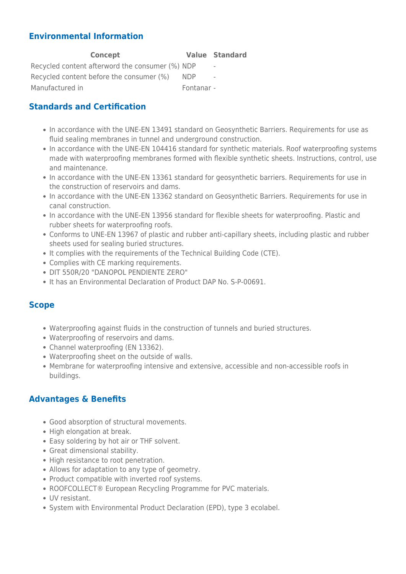#### **Environmental Information**

| Concept                                         |            | <b>Value Standard</b>    |
|-------------------------------------------------|------------|--------------------------|
| Recycled content afterword the consumer (%) NDP |            | $\overline{\phantom{a}}$ |
| Recycled content before the consumer (%)        | <b>NDP</b> | $\overline{\phantom{a}}$ |
| Manufactured in                                 | Fontanar - |                          |

#### **Standards and Certification**

- In accordance with the UNE-EN 13491 standard on Geosynthetic Barriers. Requirements for use as fluid sealing membranes in tunnel and underground construction.
- In accordance with the UNE-EN 104416 standard for synthetic materials. Roof waterproofing systems made with waterproofing membranes formed with flexible synthetic sheets. Instructions, control, use and maintenance.
- In accordance with the UNE-EN 13361 standard for geosynthetic barriers. Requirements for use in the construction of reservoirs and dams.
- In accordance with the UNE-EN 13362 standard on Geosynthetic Barriers. Requirements for use in canal construction.
- In accordance with the UNE-EN 13956 standard for flexible sheets for waterproofing. Plastic and rubber sheets for waterproofing roofs.
- Conforms to UNE-EN 13967 of plastic and rubber anti-capillary sheets, including plastic and rubber sheets used for sealing buried structures.
- It complies with the requirements of the Technical Building Code (CTE).
- Complies with CE marking requirements.
- DIT 550R/20 "DANOPOL PENDIENTE ZERO"
- It has an Environmental Declaration of Product DAP No. S-P-00691.

#### **Scope**

- Waterproofing against fluids in the construction of tunnels and buried structures.
- Waterproofing of reservoirs and dams.
- Channel waterproofing (EN 13362).
- Waterproofing sheet on the outside of walls.
- Membrane for waterproofing intensive and extensive, accessible and non-accessible roofs in buildings.

#### **Advantages & Benefits**

- Good absorption of structural movements.
- High elongation at break.
- Easy soldering by hot air or THF solvent.
- Great dimensional stability.
- High resistance to root penetration.
- Allows for adaptation to any type of geometry.
- Product compatible with inverted roof systems.
- ROOFCOLLECT® European Recycling Programme for PVC materials.
- UV resistant.
- System with Environmental Product Declaration (EPD), type 3 ecolabel.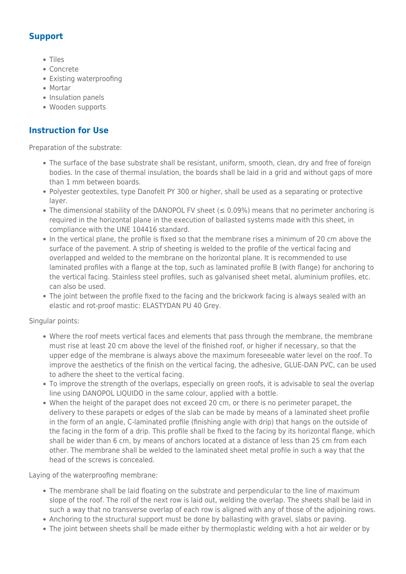## **Support**

- Tiles
- Concrete
- Existing waterproofing
- Mortar
- Insulation panels
- Wooden supports

### **Instruction for Use**

Preparation of the substrate:

- The surface of the base substrate shall be resistant, uniform, smooth, clean, dry and free of foreign bodies. In the case of thermal insulation, the boards shall be laid in a grid and without gaps of more than 1 mm between boards.
- Polyester geotextiles, type Danofelt PY 300 or higher, shall be used as a separating or protective layer.
- The dimensional stability of the DANOPOL FV sheet  $(\leq 0.09\%)$  means that no perimeter anchoring is required in the horizontal plane in the execution of ballasted systems made with this sheet, in compliance with the UNE 104416 standard.
- In the vertical plane, the profile is fixed so that the membrane rises a minimum of 20 cm above the surface of the pavement. A strip of sheeting is welded to the profile of the vertical facing and overlapped and welded to the membrane on the horizontal plane. It is recommended to use laminated profiles with a flange at the top, such as laminated profile B (with flange) for anchoring to the vertical facing. Stainless steel profiles, such as galvanised sheet metal, aluminium profiles, etc. can also be used.
- The joint between the profile fixed to the facing and the brickwork facing is always sealed with an elastic and rot-proof mastic: ELASTYDAN PU 40 Grey.

Singular points:

- Where the roof meets vertical faces and elements that pass through the membrane, the membrane must rise at least 20 cm above the level of the finished roof, or higher if necessary, so that the upper edge of the membrane is always above the maximum foreseeable water level on the roof. To improve the aesthetics of the finish on the vertical facing, the adhesive, GLUE-DAN PVC, can be used to adhere the sheet to the vertical facing.
- To improve the strength of the overlaps, especially on green roofs, it is advisable to seal the overlap line using DANOPOL LIQUIDO in the same colour, applied with a bottle.
- When the height of the parapet does not exceed 20 cm, or there is no perimeter parapet, the delivery to these parapets or edges of the slab can be made by means of a laminated sheet profile in the form of an angle, C-laminated profile (finishing angle with drip) that hangs on the outside of the facing in the form of a drip. This profile shall be fixed to the facing by its horizontal flange, which shall be wider than 6 cm, by means of anchors located at a distance of less than 25 cm from each other. The membrane shall be welded to the laminated sheet metal profile in such a way that the head of the screws is concealed.

Laying of the waterproofing membrane:

- The membrane shall be laid floating on the substrate and perpendicular to the line of maximum slope of the roof. The roll of the next row is laid out, welding the overlap. The sheets shall be laid in such a way that no transverse overlap of each row is aligned with any of those of the adjoining rows.
- Anchoring to the structural support must be done by ballasting with gravel, slabs or paving.
- The joint between sheets shall be made either by thermoplastic welding with a hot air welder or by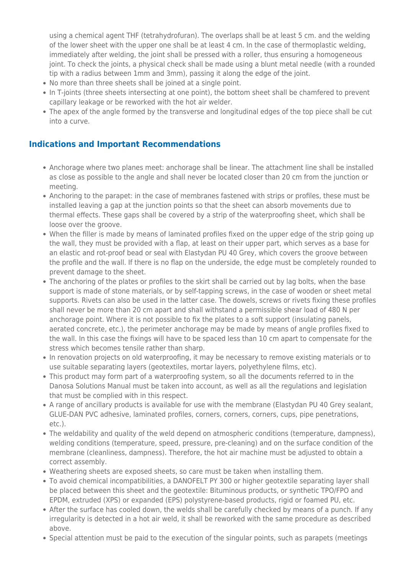using a chemical agent THF (tetrahydrofuran). The overlaps shall be at least 5 cm. and the welding of the lower sheet with the upper one shall be at least 4 cm. In the case of thermoplastic welding, immediately after welding, the joint shall be pressed with a roller, thus ensuring a homogeneous joint. To check the joints, a physical check shall be made using a blunt metal needle (with a rounded tip with a radius between 1mm and 3mm), passing it along the edge of the joint.

- No more than three sheets shall be joined at a single point.
- In T-joints (three sheets intersecting at one point), the bottom sheet shall be chamfered to prevent capillary leakage or be reworked with the hot air welder.
- The apex of the angle formed by the transverse and longitudinal edges of the top piece shall be cut into a curve.

#### **Indications and Important Recommendations**

- Anchorage where two planes meet: anchorage shall be linear. The attachment line shall be installed as close as possible to the angle and shall never be located closer than 20 cm from the junction or meeting.
- Anchoring to the parapet: in the case of membranes fastened with strips or profiles, these must be installed leaving a gap at the junction points so that the sheet can absorb movements due to thermal effects. These gaps shall be covered by a strip of the waterproofing sheet, which shall be loose over the groove.
- When the filler is made by means of laminated profiles fixed on the upper edge of the strip going up the wall, they must be provided with a flap, at least on their upper part, which serves as a base for an elastic and rot-proof bead or seal with Elastydan PU 40 Grey, which covers the groove between the profile and the wall. If there is no flap on the underside, the edge must be completely rounded to prevent damage to the sheet.
- The anchoring of the plates or profiles to the skirt shall be carried out by lag bolts, when the base support is made of stone materials, or by self-tapping screws, in the case of wooden or sheet metal supports. Rivets can also be used in the latter case. The dowels, screws or rivets fixing these profiles shall never be more than 20 cm apart and shall withstand a permissible shear load of 480 N per anchorage point. Where it is not possible to fix the plates to a soft support (insulating panels, aerated concrete, etc.), the perimeter anchorage may be made by means of angle profiles fixed to the wall. In this case the fixings will have to be spaced less than 10 cm apart to compensate for the stress which becomes tensile rather than sharp.
- In renovation projects on old waterproofing, it may be necessary to remove existing materials or to use suitable separating layers (geotextiles, mortar layers, polyethylene films, etc).
- This product may form part of a waterproofing system, so all the documents referred to in the Danosa Solutions Manual must be taken into account, as well as all the regulations and legislation that must be complied with in this respect.
- A range of ancillary products is available for use with the membrane (Elastydan PU 40 Grey sealant, GLUE-DAN PVC adhesive, laminated profiles, corners, corners, corners, cups, pipe penetrations, etc.).
- The weldability and quality of the weld depend on atmospheric conditions (temperature, dampness), welding conditions (temperature, speed, pressure, pre-cleaning) and on the surface condition of the membrane (cleanliness, dampness). Therefore, the hot air machine must be adjusted to obtain a correct assembly.
- Weathering sheets are exposed sheets, so care must be taken when installing them.
- To avoid chemical incompatibilities, a DANOFELT PY 300 or higher geotextile separating layer shall be placed between this sheet and the geotextile: Bituminous products, or synthetic TPO/FPO and EPDM, extruded (XPS) or expanded (EPS) polystyrene-based products, rigid or foamed PU, etc.
- After the surface has cooled down, the welds shall be carefully checked by means of a punch. If any irregularity is detected in a hot air weld, it shall be reworked with the same procedure as described above.
- Special attention must be paid to the execution of the singular points, such as parapets (meetings